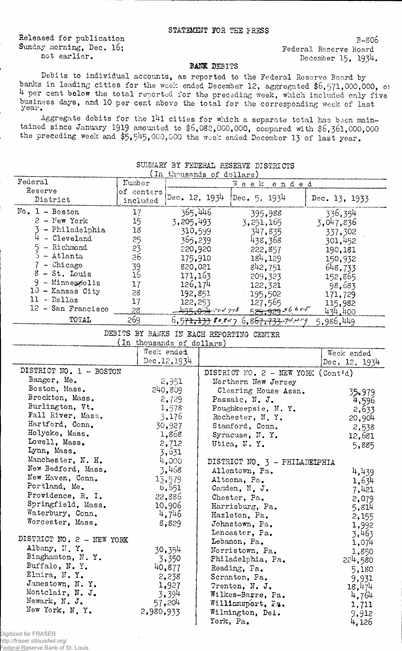Released for publication Sunday morning, Dec. 16;<br>
not earlier.<br>  $\begin{array}{ccc}\n\text{Sunder II:} & \text{Sper} & \text{Sper} \\
\text{Sper II:} & \text{Sper} & \text{Sper} \\
\text{Sper II:} & \text{Sper} & \text{Sper} \\
\end{array}$ 

 $B - 806$ December 15, 1934.

## BANK DEBITS

Debits to individual accounts, as reported to the Federal Reserve Board by banks in leading cities for the week ended December 12, aggregated \$6,571,000,000, or 4 per cent below the total reported for the preceding week, which included only five business days, and 10 per cent above the total for the corresponding week of last year.

Aggregate debits for the 141 cities for which a separate total has been maintained since January 1919 amounted to  $$6,082,000,000$ , compared with  $$6,361,000,000$ the preceding week and \$5,545,000,000 the week ended December 13 of last year.

| المتعاكلات والمنافذ المار<br>סוח דשום מים והוא ההמהיד |                        |                    |              |               |  |  |
|-------------------------------------------------------|------------------------|--------------------|--------------|---------------|--|--|
| In thousands of dollars)                              |                        |                    |              |               |  |  |
| Federal                                               | Number                 | Week<br>ended      |              |               |  |  |
| Reserve<br>District                                   | of centers<br>included | Dec. 12, 1934      | Dec. 5, 1934 | Dec. 13, 1933 |  |  |
| $No. 1 - Boston$                                      | 17                     | 365,446            | 395,988      | 336,354       |  |  |
| $2 - New York$                                        | 15                     | 3,205,493          | 3, 251, 165  | 3,047,836     |  |  |
| - Philadelphia                                        | 18                     | 310,599            | 347,835      | 337,302       |  |  |
| - Cleveland                                           | 25                     | 365,239            | 438,368      | 301,452       |  |  |
| - Richmond                                            | 23                     | 220,920            | 222,857      | 190,181       |  |  |
| - Atlanta                                             | 26                     | 175,910            | 184, 129     | 150,932       |  |  |
| - Chicago                                             | 39                     | 820,021            | 842,751      | 648,733       |  |  |
| $8 - St.$ Louis                                       | 16                     | 171,163            | 209,323      | 152,865       |  |  |
| $9 -$ Minneazolis                                     | 17                     | 126.174            | 122,321      | 98,683        |  |  |
| $10$ - Kansas City<br>11 - Dallas                     | 28                     | 192,851            | 195,502      | 171,729       |  |  |
| 12 - San Francisco                                    | 17                     | 122, 253           | 127,565      | 115,982       |  |  |
|                                                       | 28                     | 495,064,704,778    | 529,9293660  | 434.400       |  |  |
| TOTAL                                                 | 269                    | $6,571,133$ 80.847 | 6,867,733.74 | 5,986,449     |  |  |

## SUMMARY BY FEDERAL RESERVE DISCUSSION

DEBITS BY BANKS IN EACH REPORTING CENTER

| In thousands of dollars)  |             |                               |                                      |  |  |
|---------------------------|-------------|-------------------------------|--------------------------------------|--|--|
|                           | Week ended. |                               | Week ended                           |  |  |
|                           | Dec.12,1934 |                               | Dec. 12, 1934                        |  |  |
| DISTRICT NO. 1 - BOSTON   |             |                               | DISTRICT NO. $2$ - NEW YORK (Contid) |  |  |
| Bangor, Me.               | 2,951       | Northern New Jersey           |                                      |  |  |
| Boston, Mass.             | 240,809     | Clearing House Assn.          | 35,979                               |  |  |
| Brockton, Mass.           | 2,729       | Passaic, N. J.                | 4,596                                |  |  |
| Burlington, Vt.           | 1,578       | Poughkeepsie, N.Y.            | 2,633                                |  |  |
| Fall River, Mass.         | 3,176       | Rochester, N.Y.               | 20,904                               |  |  |
| Hartford, Conn.           | 30,927      | Stamford, Conn.               | 2,538                                |  |  |
| Holyoke, Mass.            | 1,868       | Syracuse, N.Y.                | 12,681                               |  |  |
| Lowell, Mass.             | 2,712       | Utica, N.Y.                   | 5,885                                |  |  |
| Lynn, Mass.               | 3,631       |                               |                                      |  |  |
| Manchester, N. H.         | 4,000       | DISTRICT NO. 3 - PHILADELPHIA |                                      |  |  |
| New Bedford, Mass.        | 3,468       | Allentown, Pa.                | 4.439                                |  |  |
| New Haven, Conn.          | 13,579      | Altoona, Pa.                  | 1,634                                |  |  |
| Portland, Me.             | 6,651       | Camden, N. J.                 | 7,421                                |  |  |
| Providence, R. I.         | 22,886      | Chester, Pa.                  | 2,079                                |  |  |
| Springfield, Mass.        | 10,906      | Harrisburg, Pa.               | 5,814                                |  |  |
| Waterbury, Conn.          | 4,746       | Hazleton, Pa.                 | 2,155                                |  |  |
| Worcester, Mass.          | 8,829       | Johnstown, Pa.                | 1,992                                |  |  |
|                           |             | Lancaster, Pa.                | 3,463                                |  |  |
| DISTRICT NO. 2 - NEW YORK |             | Lebanon, Pa.                  | 1,074                                |  |  |
| Albany, H.Y.              | 30,354      | Norristown, Pa.               | 1,850                                |  |  |
| Binghamton, N.Y.          | 3,350       | Philadelphia, Pa.             | 224,580                              |  |  |
| Buffalo, N.Y.             | 40,877      | Reading, Pa.                  | 5,180                                |  |  |
| Elmira, N.Y.              | 2,238       | Scranton, Pa.                 | 9,931                                |  |  |
| Jamestown, N.Y.           | 1,927       | Trenton, N. J.                | 18,474                               |  |  |
| Montclair, N. J.          | 3,394       | Wilkes-Barre, Pa.             | 4,764                                |  |  |
| Newark, N. J.             | 57,204      | Williamsport, Fa.             | 1,711                                |  |  |
| New York, N.Y.            | 2,980,933   | Wilmington, Del.              | 9,912                                |  |  |
|                           |             | York, Pa.                     | 4,126                                |  |  |

Digitized for FRASER http://fraser.stlouisfed.org/

Federal Reserve Bank of St. Louis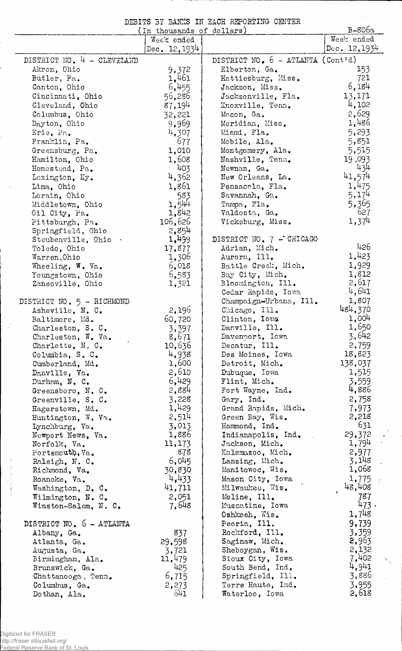DEBITS BT BANKS IN EACH REPORTING CENTER

 $\mathcal{F}^{(k)}_{\text{max}}$ 

 $\overline{\phantom{a}}$ 

| $B-806a$<br>In thousands of dollars) |                 |                                     |                |  |
|--------------------------------------|-----------------|-------------------------------------|----------------|--|
|                                      | Week ended      |                                     | Week ended     |  |
|                                      | Dec. $12, 1934$ |                                     | Dec. $12,1934$ |  |
| DISTRICT NO. 4 - CLEVELAND           |                 | DISTRICT NO. $6 - ATLAMTA (Cont'd)$ |                |  |
| Akron, Ohio                          | 9,372           | Elberton, Ga.                       | 153            |  |
| Butler, Pa.                          | 1,461           | Hattiesburg, Miss.                  | 721            |  |
| Canton, Ohio                         | 6,455           | Jackson, Miss.                      | 6,184          |  |
| Cincinnati, Ohio                     | 56,286          | Jacksonville, Fla.                  | 13,171         |  |
| Cleveland, Ohio                      | 87,194          | Knoxville, Tenn.                    | 4,102          |  |
|                                      |                 |                                     | 2,629          |  |
| Columbus, Ohio                       | 32,221          | Macon, Ga.                          | 1,486          |  |
| Dayton, Ohio                         | 9,969           | Meridian, Miss.                     |                |  |
| Erie, Pa.                            | 4,307           | Miami, Fla.                         | 5,293          |  |
| Franklin, Pa.                        | 677             | Mobile, Ala.                        | 5,851          |  |
| Greensburg, Pa.                      | 1,010           | Montgomery, Ala.                    | 5,515          |  |
| Hamilton, Ohio                       | 1,608           | Nashville, Tenn.                    | 19,093         |  |
| Homestead, Pa.                       | 403             | Newnan. Ga.                         | 434            |  |
| Lexington, Ky.                       | 4,362           | New Orleans, La.                    | 41,574         |  |
| Lima, Ohio                           | 1,861           | Pensacola, Fla.                     | 1,475          |  |
| Lorain, Ohio                         | 583             | Savannah, Ga.                       | 5,174          |  |
| Middletown, Ohio                     | 1,544           | Tampa, Fla.                         | 5,365          |  |
| Oil City, Pa.                        | 1,842           | Valdosta, Ga.                       | 627            |  |
| Pittsburgh, Pa.                      | 106,626         | Vicksburg, Miss.                    | 1,374          |  |
| Springfield, Ohio                    | 2,854           |                                     |                |  |
| Steubenville, Ohio .                 | 1,499           | DISTRICT NO. 7 - CHICAGO            |                |  |
| Toledo, Ohio                         | 17,877          | Adrian, Mich.                       | 426            |  |
| Warren, Ohio                         | 1,306           | Aurora, Ill.                        | 1,423          |  |
| Wheeling, W. Va.                     | 6,018           | Battle Creek, Mich.                 | 1,929          |  |
| Youngstown, Ohio                     | 6,583           | Bay City, Mich.                     | 1,812          |  |
| Zanesville, Ohio                     | 1,321           | Bloomington, Ill.                   | 2,617          |  |
|                                      |                 | Cedar Rapids, Iowa                  | .4,641         |  |
| DISTRICT NO. 5 - RICHMOND            |                 | Champaign-Urbana, Ill.              | 1,807          |  |
| Asheville, N. C.                     | 2,196           | Chicago, Ill.                       | 484,370        |  |
| Baltimore, Md.                       | 60,720          | Clinton, Iowa                       | 1,004          |  |
| Charleston, S. C.                    | 3,397           | Danville, Ill.                      | 1,650          |  |
| Charleston, W. Va.                   | 8,671           | Davenport, Iowa                     | 3,642          |  |
| Charlotte, N.C.                      | 10,636          | Decatur, Ill.                       | 2,759          |  |
| Columbia, S. C.                      | 4,938           | Des Moines, Iowa                    | 18,823         |  |
| Cumberland, Md.                      | 1,600           | Detroit, Mich.                      | 138,037        |  |
| Danville, Va.                        | 2,610           | Dubuque, Iowa                       | 1,515          |  |
|                                      | 6,429           | Flint, Mich.                        | 3,559          |  |
| Durham, N. C.                        | 2,884           | Fort Wayne, Ind.                    | 4,886          |  |
| Greensboro, N. C.                    | 3,228           |                                     | 2,758          |  |
| Greenville, S. C.                    | 1,429           | Gary, Ind.                          |                |  |
| Hagerstown, Md.                      |                 | Grand Rapids, Mich.                 | 7,973          |  |
| Huntington, W. Va.                   | 2,514           | Green Bay, Wis.                     | 2,218<br>631   |  |
| Lynchburg, Va.                       | 3,013           | Hammond, Ind.                       |                |  |
| Newport News, Va.                    | 1,886           | Indianapolis, Ind.                  | 29,372         |  |
| Norfolk, Va.                         | 11,173          | Jackson, Mich.                      | 1,794          |  |
| Portsmouth, Va.                      | 878             | Kalamazoo, Mich.                    | 2,977          |  |
| Raleigh, N. C.                       | 6,045           | Lansing, Mich.                      | 3,148          |  |
| Richmond, Va.                        | 30,830          | Manitowoc, Wis.                     | 1,068          |  |
| Roanoke, Va.                         | 4,433           | Mason City, Iowa                    | 1,775          |  |
| Washington, D. C.                    | 41,711          | Milwaukee, Wis.                     | 48,408         |  |
| Wilmington, N. C.                    | 2,051           | Moline, Ill.                        | 787            |  |
| Winston-Salem, N. C.                 | 7,648           | Muscatine, Iowa                     | 473.           |  |
|                                      |                 | Oshkosh, Wis.                       | 1,748          |  |
| DISTRICT NO. 6 - ATLANTA             |                 | Peoria, Ill.                        | 9,739          |  |
| Albany, Ga.                          | 837             | Rockford, Ill.                      | 3,359          |  |
| Atlanta, Ga.                         | 29,598          | Saginaw, Mich.                      | 2,963          |  |
| Augusta, Ga.                         | 3,721           | Sheboygan, Wis.                     | 2,132          |  |
| Birmingham, Ala.                     | 11,479          | Sioux City, Iowa                    | 7,402          |  |
| Brunswick, Ga.                       | 425             | South Bend, Ind.                    | 4,941          |  |
| Chattanooga, Tenn.                   | 6,715           | Springfield, Ill.                   | 3,886          |  |
| Columbus, Ga.                        | 2,273           | Terre Haute, Ind.                   | 3,955          |  |
| Dothan, Ala.                         | 641             | Waterloo, Iowa                      | 2,618          |  |

- 7

 $\overline{\mathcal{L}}$